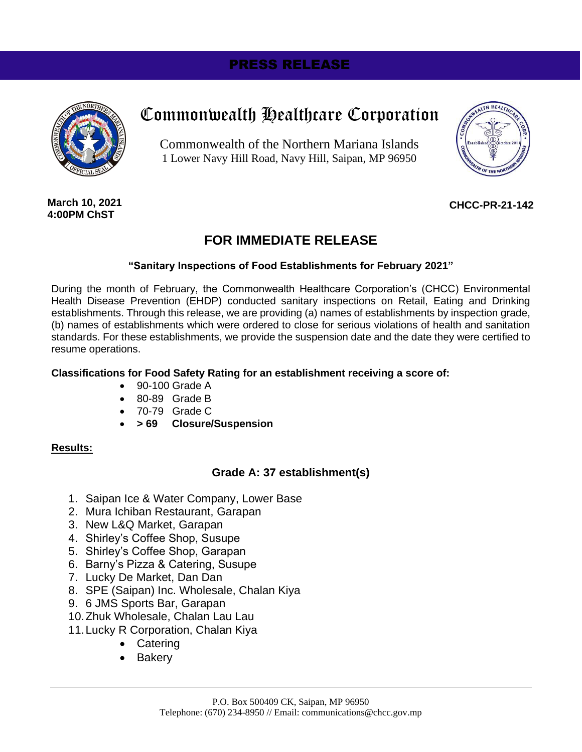# PRESS RELEASE



# Commonwealth Healthcare Corporation

Commonwealth of the Northern Mariana Islands 1 Lower Navy Hill Road, Navy Hill, Saipan, MP 96950



**March 10, 2021 4:00PM ChST**

### **CHCC-PR-21-142**

# **FOR IMMEDIATE RELEASE**

#### **"Sanitary Inspections of Food Establishments for February 2021"**

During the month of February, the Commonwealth Healthcare Corporation's (CHCC) Environmental Health Disease Prevention (EHDP) conducted sanitary inspections on Retail, Eating and Drinking establishments. Through this release, we are providing (a) names of establishments by inspection grade, (b) names of establishments which were ordered to close for serious violations of health and sanitation standards. For these establishments, we provide the suspension date and the date they were certified to resume operations.

#### **Classifications for Food Safety Rating for an establishment receiving a score of:**

- 90-100 Grade A
- 80-89 Grade B
- 70-79 Grade C
- **> 69 Closure/Suspension**

#### **Results:**

## **Grade A: 37 establishment(s)**

- 1. Saipan Ice & Water Company, Lower Base
- 2. Mura Ichiban Restaurant, Garapan
- 3. New L&Q Market, Garapan
- 4. Shirley's Coffee Shop, Susupe
- 5. Shirley's Coffee Shop, Garapan
- 6. Barny's Pizza & Catering, Susupe
- 7. Lucky De Market, Dan Dan
- 8. SPE (Saipan) Inc. Wholesale, Chalan Kiya
- 9. 6 JMS Sports Bar, Garapan
- 10.Zhuk Wholesale, Chalan Lau Lau
- 11.Lucky R Corporation, Chalan Kiya
	- Catering
	- Bakery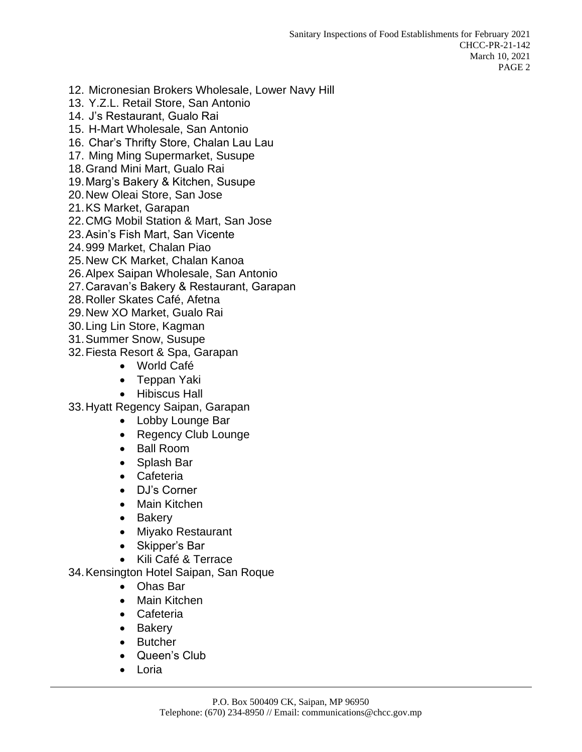- 12. Micronesian Brokers Wholesale, Lower Navy Hill
- 13. Y.Z.L. Retail Store, San Antonio
- 14. J's Restaurant, Gualo Rai
- 15. H-Mart Wholesale, San Antonio
- 16. Char's Thrifty Store, Chalan Lau Lau
- 17. Ming Ming Supermarket, Susupe
- 18.Grand Mini Mart, Gualo Rai
- 19.Marg's Bakery & Kitchen, Susupe
- 20.New Oleai Store, San Jose
- 21.KS Market, Garapan
- 22.CMG Mobil Station & Mart, San Jose
- 23.Asin's Fish Mart, San Vicente
- 24.999 Market, Chalan Piao
- 25.New CK Market, Chalan Kanoa
- 26.Alpex Saipan Wholesale, San Antonio
- 27.Caravan's Bakery & Restaurant, Garapan
- 28.Roller Skates Café, Afetna
- 29.New XO Market, Gualo Rai
- 30.Ling Lin Store, Kagman
- 31.Summer Snow, Susupe
- 32.Fiesta Resort & Spa, Garapan
	- World Café
	- Teppan Yaki
	- Hibiscus Hall
- 33.Hyatt Regency Saipan, Garapan
	- Lobby Lounge Bar
	- Regency Club Lounge
	- Ball Room
	- Splash Bar
	- Cafeteria
	- DJ's Corner
	- Main Kitchen
	- Bakery
	- Miyako Restaurant
	- Skipper's Bar
	- Kili Café & Terrace
- 34.Kensington Hotel Saipan, San Roque
	- Ohas Bar
	- Main Kitchen
	- Cafeteria
	- Bakery
	- Butcher
	- Queen's Club
	- Loria